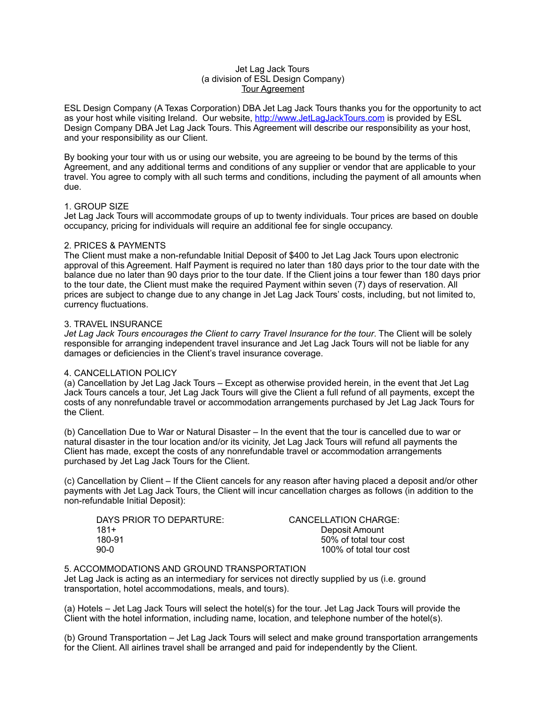## Jet Lag Jack Tours (a division of ESL Design Company) Tour Agreement

ESL Design Company (A Texas Corporation) DBA Jet Lag Jack Tours thanks you for the opportunity to act as your host while visiting Ireland. Our website, <http://www.JetLagJackTours.com>is provided by ESL Design Company DBA Jet Lag Jack Tours. This Agreement will describe our responsibility as your host, and your responsibility as our Client.

By booking your tour with us or using our website, you are agreeing to be bound by the terms of this Agreement, and any additional terms and conditions of any supplier or vendor that are applicable to your travel. You agree to comply with all such terms and conditions, including the payment of all amounts when due.

# 1. GROUP SIZE

Jet Lag Jack Tours will accommodate groups of up to twenty individuals. Tour prices are based on double occupancy, pricing for individuals will require an additional fee for single occupancy.

# 2. PRICES & PAYMENTS

The Client must make a non-refundable Initial Deposit of \$400 to Jet Lag Jack Tours upon electronic approval of this Agreement. Half Payment is required no later than 180 days prior to the tour date with the balance due no later than 90 days prior to the tour date. If the Client joins a tour fewer than 180 days prior to the tour date, the Client must make the required Payment within seven (7) days of reservation. All prices are subject to change due to any change in Jet Lag Jack Tours' costs, including, but not limited to, currency fluctuations.

# 3. TRAVEL INSURANCE

*Jet Lag Jack Tours encourages the Client to carry Travel Insurance for the tour*. The Client will be solely responsible for arranging independent travel insurance and Jet Lag Jack Tours will not be liable for any damages or deficiencies in the Client's travel insurance coverage.

# 4. CANCELLATION POLICY

(a) Cancellation by Jet Lag Jack Tours – Except as otherwise provided herein, in the event that Jet Lag Jack Tours cancels a tour, Jet Lag Jack Tours will give the Client a full refund of all payments, except the costs of any nonrefundable travel or accommodation arrangements purchased by Jet Lag Jack Tours for the Client.

(b) Cancellation Due to War or Natural Disaster – In the event that the tour is cancelled due to war or natural disaster in the tour location and/or its vicinity, Jet Lag Jack Tours will refund all payments the Client has made, except the costs of any nonrefundable travel or accommodation arrangements purchased by Jet Lag Jack Tours for the Client.

(c) Cancellation by Client – If the Client cancels for any reason after having placed a deposit and/or other payments with Jet Lag Jack Tours, the Client will incur cancellation charges as follows (in addition to the non-refundable Initial Deposit):

| DAYS PRIOR TO DEPARTURE: |  |
|--------------------------|--|
| $181 +$                  |  |
| 180-91                   |  |
| 90-0                     |  |

CANCELLATION CHARGE: Deposit Amount 50% of total tour cost 100% of total tour cost

# 5. ACCOMMODATIONS AND GROUND TRANSPORTATION

Jet Lag Jack is acting as an intermediary for services not directly supplied by us (i.e. ground transportation, hotel accommodations, meals, and tours).

(a) Hotels – Jet Lag Jack Tours will select the hotel(s) for the tour. Jet Lag Jack Tours will provide the Client with the hotel information, including name, location, and telephone number of the hotel(s).

(b) Ground Transportation – Jet Lag Jack Tours will select and make ground transportation arrangements for the Client. All airlines travel shall be arranged and paid for independently by the Client.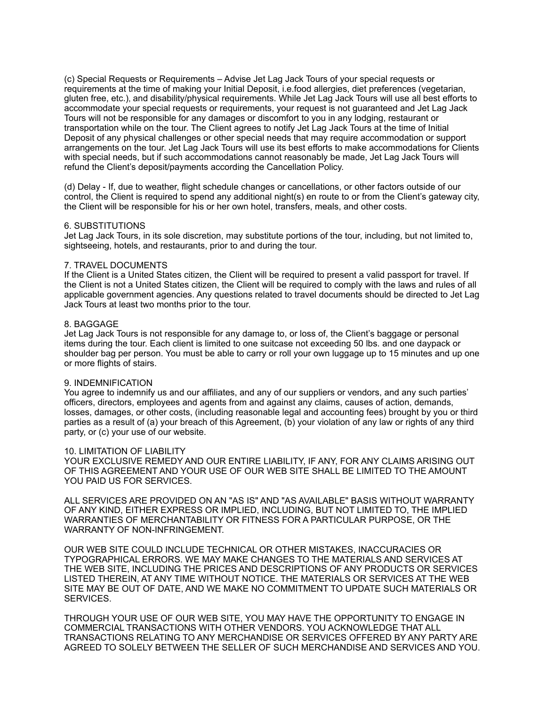(c) Special Requests or Requirements – Advise Jet Lag Jack Tours of your special requests or requirements at the time of making your Initial Deposit, i.e.food allergies, diet preferences (vegetarian, gluten free, etc.), and disability/physical requirements. While Jet Lag Jack Tours will use all best efforts to accommodate your special requests or requirements, your request is not guaranteed and Jet Lag Jack Tours will not be responsible for any damages or discomfort to you in any lodging, restaurant or transportation while on the tour. The Client agrees to notify Jet Lag Jack Tours at the time of Initial Deposit of any physical challenges or other special needs that may require accommodation or support arrangements on the tour. Jet Lag Jack Tours will use its best efforts to make accommodations for Clients with special needs, but if such accommodations cannot reasonably be made, Jet Lag Jack Tours will refund the Client's deposit/payments according the Cancellation Policy.

(d) Delay - If, due to weather, flight schedule changes or cancellations, or other factors outside of our control, the Client is required to spend any additional night(s) en route to or from the Client's gateway city, the Client will be responsible for his or her own hotel, transfers, meals, and other costs.

#### 6. SUBSTITUTIONS

Jet Lag Jack Tours, in its sole discretion, may substitute portions of the tour, including, but not limited to, sightseeing, hotels, and restaurants, prior to and during the tour.

#### 7. TRAVEL DOCUMENTS

If the Client is a United States citizen, the Client will be required to present a valid passport for travel. If the Client is not a United States citizen, the Client will be required to comply with the laws and rules of all applicable government agencies. Any questions related to travel documents should be directed to Jet Lag Jack Tours at least two months prior to the tour.

#### 8. BAGGAGE

Jet Lag Jack Tours is not responsible for any damage to, or loss of, the Client's baggage or personal items during the tour. Each client is limited to one suitcase not exceeding 50 lbs. and one daypack or shoulder bag per person. You must be able to carry or roll your own luggage up to 15 minutes and up one or more flights of stairs.

### 9. INDEMNIFICATION

You agree to indemnify us and our affiliates, and any of our suppliers or vendors, and any such parties' officers, directors, employees and agents from and against any claims, causes of action, demands, losses, damages, or other costs, (including reasonable legal and accounting fees) brought by you or third parties as a result of (a) your breach of this Agreement, (b) your violation of any law or rights of any third party, or (c) your use of our website.

## 10. LIMITATION OF LIABILITY

YOUR EXCLUSIVE REMEDY AND OUR ENTIRE LIABILITY, IF ANY, FOR ANY CLAIMS ARISING OUT OF THIS AGREEMENT AND YOUR USE OF OUR WEB SITE SHALL BE LIMITED TO THE AMOUNT YOU PAID US FOR SERVICES.

ALL SERVICES ARE PROVIDED ON AN "AS IS" AND "AS AVAILABLE" BASIS WITHOUT WARRANTY OF ANY KIND, EITHER EXPRESS OR IMPLIED, INCLUDING, BUT NOT LIMITED TO, THE IMPLIED WARRANTIES OF MERCHANTABILITY OR FITNESS FOR A PARTICULAR PURPOSE, OR THE WARRANTY OF NON-INFRINGEMENT.

OUR WEB SITE COULD INCLUDE TECHNICAL OR OTHER MISTAKES, INACCURACIES OR TYPOGRAPHICAL ERRORS. WE MAY MAKE CHANGES TO THE MATERIALS AND SERVICES AT THE WEB SITE, INCLUDING THE PRICES AND DESCRIPTIONS OF ANY PRODUCTS OR SERVICES LISTED THEREIN, AT ANY TIME WITHOUT NOTICE. THE MATERIALS OR SERVICES AT THE WEB SITE MAY BE OUT OF DATE, AND WE MAKE NO COMMITMENT TO UPDATE SUCH MATERIALS OR SERVICES.

THROUGH YOUR USE OF OUR WEB SITE, YOU MAY HAVE THE OPPORTUNITY TO ENGAGE IN COMMERCIAL TRANSACTIONS WITH OTHER VENDORS. YOU ACKNOWLEDGE THAT ALL TRANSACTIONS RELATING TO ANY MERCHANDISE OR SERVICES OFFERED BY ANY PARTY ARE AGREED TO SOLELY BETWEEN THE SELLER OF SUCH MERCHANDISE AND SERVICES AND YOU.